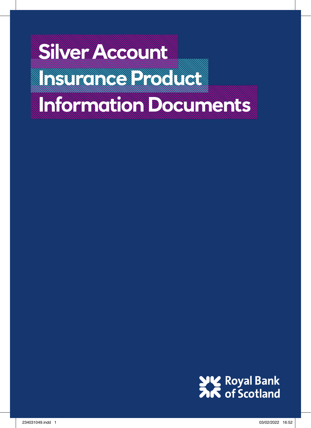# **Silver Account INSURANCE AND A STATE OF A REAL EXAMPLE AND A PROPERTY OF A REAL EXAMPLE AND A PROPERTY AND A PROPERTY OF A PR Information Documents**

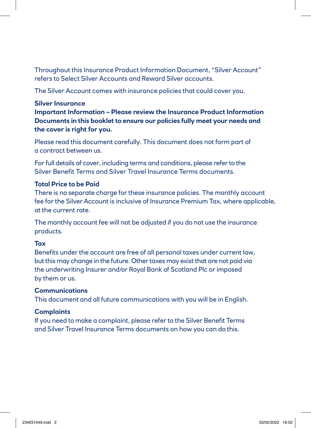Throughout this Insurance Product Information Document, "Silver Account" refers to Select Silver Accounts and Reward Silver accounts.

The Silver Account comes with insurance policies that could cover you.

#### **Silver Insurance**

**Important Information – Please review the Insurance Product Information Documents in this booklet to ensure our policies fully meet your needs and the cover is right for you.**

Please read this document carefully. This document does not form part of a contract between us.

For full details of cover, including terms and conditions, please refer to the Silver Benefit Terms and Silver Travel Insurance Terms documents.

#### **Total Price to be Paid**

There is no separate charge for these insurance policies. The monthly account fee for the Silver Account is inclusive of Insurance Premium Tax, where applicable, at the current rate.

The monthly account fee will not be adjusted if you do not use the insurance products.

#### **Tax**

Benefits under the account are free of all personal taxes under current law, but this may change in the future. Other taxes may exist that are not paid via the underwriting Insurer and/or Royal Bank of Scotland Plc or imposed by them or us.

#### **Communications**

This document and all future communications with you will be in English.

#### **Complaints**

If you need to make a complaint, please refer to the Silver Benefit Terms and Silver Travel Insurance Terms documents on how you can do this.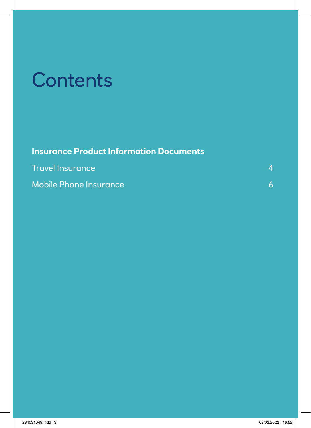# **Contents**

| <b>Insurance Product Information Documents</b> |  |
|------------------------------------------------|--|
| <b>Travel Insurance</b>                        |  |
| <b>Mobile Phone Insurance</b>                  |  |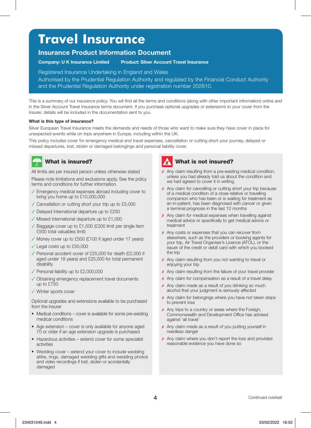## **Travel Insurance**

#### **Insurance Product Information Document**

**Company: U K Insurance Limited Product: Silver Account Travel Insurance**

Registered Insurance Undertaking in England and Wales

Authorised by the Prudential Regulation Authority and regulated by the Financial Conduct Authority and the Prudential Regulation Authority under registration number 202810.

This is a summary of our insurance policy. You will find all the terms and conditions (along with other important information) online and in the Silver Account Travel Insurance terms document. If you purchase optional upgrades or extensions to your cover from the insurer, details will be included in the documentation sent to you.

#### **What is this type of insurance?**

Silver European Travel Insurance meets the demands and needs of those who want to make sure they have cover in place for unexpected events while on trips anywhere in Europe, including within the UK.

This policy includes cover for emergency medical and travel expenses, cancellation or cutting short your journey, delayed or missed departures, lost, stolen or damaged belongings and personal liability cover.

#### What is insured?

All limits are per insured person unless otherwise stated

Please note limitations and exclusions apply. See the policy terms and conditions for further information.

- ✓ Emergency medical expenses abroad including cover to bring you home up to £10,000,000
- ✓ Cancellation or cutting short your trip up to £5,000
- ✓ Delayed international departure up to £250
- ✓ Missed international departure up to £1,000
- ✓ Baggage cover up to £1,500 (£300 limit per single item £500 total valuables limit)
- ✓ Money cover up to £500 (£100 if aged under 17 years)
- ✓ Legal costs up to £50,000
- ✓ Personal accident cover of £25,000 for death (£2,000 if aged under 18 years) and £25,000 for total permanent disability
- ✓ Personal liability up to £2,000,000
- ✓ Obtaining emergency replacement travel documents up to £750
- ✓ Winter sports cover

Optional upgrades and extensions available to be purchased from the insurer

- Medical conditions cover is available for some pre-existing medical conditions
- Age extension cover is only available for anyone aged 70 or older if an age extension upgrade is purchased
- Hazardous activities extend cover for some specialist activities
- Wedding cover extend your cover to include wedding attire, rings, damaged wedding gifts and wedding photos and video recordings if lost, stolen or accidentally damaged

#### What is not insured?

- $\times$  Any claim resulting from a pre-existing medical condition, unless you had already told us about the condition and we had agreed to cover it in writing.
- **x** Any claim for cancelling or cutting short your trip because of a medical condition of a close relative or travelling companion who has been or is waiting for treatment as an in-patient, has been diagnosed with cancer or given a terminal prognosis in the last 12 months
- ✗ Any claim for medical expenses when travelling against medical advice or specifically to get medical advice or treatment
- ✗ Any costs or expenses that you can recover from elsewhere, such as the providers or booking agents for your trip, Air Travel Organiser's Licence (ATOL), or the issuer of the credit or debit card with which you booked the trin
- ✗ Any claim resulting from you not wanting to travel or enjoying your trip
- ✗ Any claim resulting from the failure of your travel provider
- ✗ Any claim for compensation as a result of a travel delay
- ✗ Any claim made as a result of you drinking so much alcohol that your judgment is seriously affected
- ✗ Any claim for belongings where you have not taken steps to prevent loss
- x Any trips to a country or areas where the Foreign, Commonwealth and Development Office has advised against 'all travel'
- x Any claim made as a result of you putting yourself in needless danger
- x Any claim where you don't report the loss and provided reasonable evidence you have done so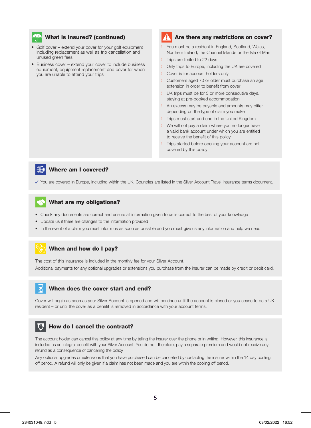#### What is insured? (continued)

- Golf cover extend your cover for your golf equipment including replacement as well as trip cancellation and unused green fees
- Business cover extend your cover to include business equipment, equipment replacement and cover for when you are unable to attend your trips

### Are there any restrictions on cover?

- **!** You must be a resident in England, Scotland, Wales, Northern Ireland, the Channel Islands or the Isle of Man
- **!** Trips are limited to 22 days
- **!** Only trips to Europe, including the UK are covered
- **!** Cover is for account holders only
- **!** Customers aged 70 or older must purchase an age extension in order to benefit from cover
- **!** UK trips must be for 3 or more consecutive days, staying at pre-booked accommodation
- **!** An excess may be payable and amounts may differ depending on the type of claim you make
- **!** Trips must start and end in the United Kingdom
- **!** We will not pay a claim where you no longer have a valid bank account under which you are entitled to receive the benefit of this policy
- **!** Trips started before opening your account are not covered by this policy



#### Where am I covered?

✓ You are covered in Europe, including within the UK. Countries are listed in the Silver Account Travel Insurance terms document.

#### What are my obligations?

- Check any documents are correct and ensure all information given to us is correct to the best of your knowledge
- Update us if there are changes to the information provided
- In the event of a claim you must inform us as soon as possible and you must give us any information and help we need

#### When and how do I pay?

The cost of this insurance is included in the monthly fee for your Silver Account.

Additional payments for any optional upgrades or extensions you purchase from the insurer can be made by credit or debit card.

#### When does the cover start and end?

Cover will begin as soon as your Silver Account is opened and will continue until the account is closed or you cease to be a UK resident – or until the cover as a benefit is removed in accordance with your account terms.

#### How do I cancel the contract?

The account holder can cancel this policy at any time by telling the insurer over the phone or in writing. However, this insurance is included as an integral benefit with your Silver Account. You do not, therefore, pay a separate premium and would not receive any refund as a consequence of cancelling the policy.

Any optional upgrades or extensions that you have purchased can be cancelled by contacting the insurer within the 14 day cooling off period. A refund will only be given if a claim has not been made and you are within the cooling off period.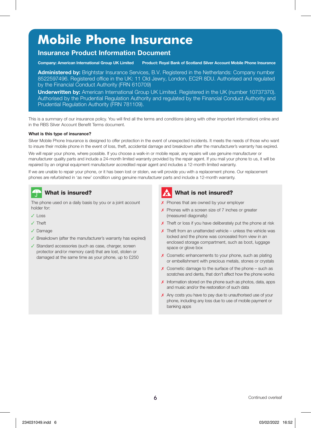# **Mobile Phone Insurance**

#### **Insurance Product Information Document**

**Company: American International Group UK Limited Product: Royal Bank of Scotland Silver Account Mobile Phone Insurance**

**Administered by:** Brightstar Insurance Services, B.V. Registered in the Netherlands: Company number 8522597496. Registered office in the UK: 11 Old Jewry, London, EC2R 8DU. Authorised and regulated by the Financial Conduct Authority (FRN 610709)

**Underwritten by:** American International Group UK Limited. Registered in the UK (number 10737370). Authorised by the Prudential Regulation Authority and regulated by the Financial Conduct Authority and Prudential Regulation Authority (FRN 781109).

This is a summary of our insurance policy. You will find all the terms and conditions (along with other important information) online and in the RBS Silver Account Benefit Terms document.

#### **What is this type of insurance?**

Silver Mobile Phone Insurance is designed to offer protection in the event of unexpected incidents. It meets the needs of those who want to insure their mobile phone in the event of loss, theft, accidental damage and breakdown after the manufacturer's warranty has expired.

We will repair your phone, where possible. If you choose a walk-in or mobile repair, any repairs will use genuine manufacturer or manufacturer quality parts and include a 24-month limited warranty provided by the repair agent. If you mail your phone to us, it will be repaired by an original equipment manufacturer accredited repair agent and includes a 12-month limited warranty.

If we are unable to repair your phone, or it has been lost or stolen, we will provide you with a replacement phone. Our replacement phones are refurbished in 'as new' condition using genuine manufacturer parts and include a 12-month warranty.

### What is insured?

The phone used on a daily basis by you or a joint account holder for:

- ✓ Loss
- ✓ Theft
- ✓ Damage
- ✓ Breakdown (after the manufacturer's warranty has expired)
- ✓ Standard accessories (such as case, charger, screen protector and/or memory card) that are lost, stolen or damaged at the same time as your phone, up to £250

#### What is not insured?

- ✗ Phones that are owned by your employer
- ✗ Phones with a screen size of 7 inches or greater (measured diagonally)
- X Theft or loss if you have deliberately put the phone at risk
- $\times$  Theft from an unattended vehicle unless the vehicle was locked and the phone was concealed from view in an enclosed storage compartment, such as boot, luggage space or glove box
- ✗ Cosmetic enhancements to your phone, such as plating or embellishment with precious metals, stones or crystals
- ✗ Cosmetic damage to the surface of the phone such as scratches and dents, that don't affect how the phone works
- ✗ Information stored on the phone such as photos, data, apps and music and/or the restoration of such data
- ✗ Any costs you have to pay due to unauthorised use of your phone, including any loss due to use of mobile payment or banking apps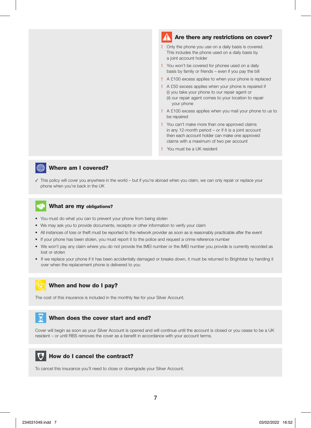#### Are there any restrictions on cover?

- **!** Only the phone you use on a daily basis is covered. This includes the phone used on a daily basis by a joint account holder
- **!** You won't be covered for phones used on a daily basis by family or friends – even if you pay the bill
- **!** A £100 excess applies to when your phone is replaced
- **!** A £50 excess applies when your phone is repaired if (i) you take your phone to our repair agent or (ii) our repair agent comes to your location to repair your phone
- **!** A £100 excess applies when you mail your phone to us to be repaired
- **!** You can't make more than one approved claims in any 12-month period – or if it is a joint account then each account holder can make one approved claims with a maximum of two per account
- **!** You must be a UK resident



#### Where am I covered?

✓ This policy will cover you anywhere in the world – but if you're abroad when you claim, we can only repair or replace your phone when you're back in the UK

#### What are my obligations?

- You must do what you can to prevent your phone from being stolen
- We may ask you to provide documents, receipts or other information to verify your claim
- All instances of loss or theft must be reported to the network provider as soon as is reasonably practicable after the event
- If your phone has been stolen, you must report it to the police and request a crime reference number
- We won't pay any claim where you do not provide the IMEI number or the IMEI number you provide is currently recorded as lost or stolen
- If we replace your phone if it has been accidentally damaged or breaks down, it must be returned to Brightstar by handing it over when the replacement phone is delivered to you



The cost of this insurance is included in the monthly fee for your Silver Account.

#### When does the cover start and end?

Cover will begin as soon as your Silver Account is opened and will continue until the account is closed or you cease to be a UK resident – or until RBS removes the cover as a benefit in accordance with your account terms.



To cancel this insurance you'll need to close or downgrade your Silver Account.